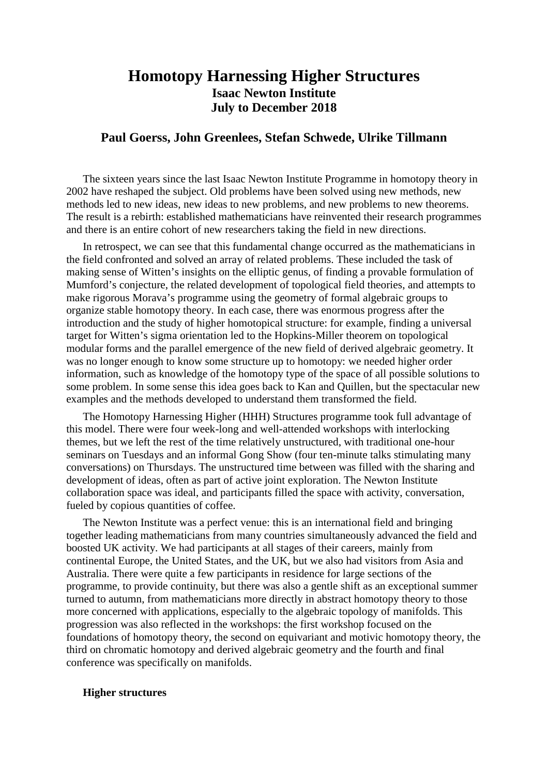# **Homotopy Harnessing Higher Structures Isaac Newton Institute July to December 2018**

## **Paul Goerss, John Greenlees, Stefan Schwede, Ulrike Tillmann**

The sixteen years since the last Isaac Newton Institute Programme in homotopy theory in 2002 have reshaped the subject. Old problems have been solved using new methods, new methods led to new ideas, new ideas to new problems, and new problems to new theorems. The result is a rebirth: established mathematicians have reinvented their research programmes and there is an entire cohort of new researchers taking the field in new directions.

In retrospect, we can see that this fundamental change occurred as the mathematicians in the field confronted and solved an array of related problems. These included the task of making sense of Witten's insights on the elliptic genus, of finding a provable formulation of Mumford's conjecture, the related development of topological field theories, and attempts to make rigorous Morava's programme using the geometry of formal algebraic groups to organize stable homotopy theory. In each case, there was enormous progress after the introduction and the study of higher homotopical structure: for example, finding a universal target for Witten's sigma orientation led to the Hopkins-Miller theorem on topological modular forms and the parallel emergence of the new field of derived algebraic geometry. It was no longer enough to know some structure up to homotopy: we needed higher order information, such as knowledge of the homotopy type of the space of all possible solutions to some problem. In some sense this idea goes back to Kan and Quillen, but the spectacular new examples and the methods developed to understand them transformed the field.

The Homotopy Harnessing Higher (HHH) Structures programme took full advantage of this model. There were four week-long and well-attended workshops with interlocking themes, but we left the rest of the time relatively unstructured, with traditional one-hour seminars on Tuesdays and an informal Gong Show (four ten-minute talks stimulating many conversations) on Thursdays. The unstructured time between was filled with the sharing and development of ideas, often as part of active joint exploration. The Newton Institute collaboration space was ideal, and participants filled the space with activity, conversation, fueled by copious quantities of coffee.

The Newton Institute was a perfect venue: this is an international field and bringing together leading mathematicians from many countries simultaneously advanced the field and boosted UK activity. We had participants at all stages of their careers, mainly from continental Europe, the United States, and the UK, but we also had visitors from Asia and Australia. There were quite a few participants in residence for large sections of the programme, to provide continuity, but there was also a gentle shift as an exceptional summer turned to autumn, from mathematicians more directly in abstract homotopy theory to those more concerned with applications, especially to the algebraic topology of manifolds. This progression was also reflected in the workshops: the first workshop focused on the foundations of homotopy theory, the second on equivariant and motivic homotopy theory, the third on chromatic homotopy and derived algebraic geometry and the fourth and final conference was specifically on manifolds.

## **Higher structures**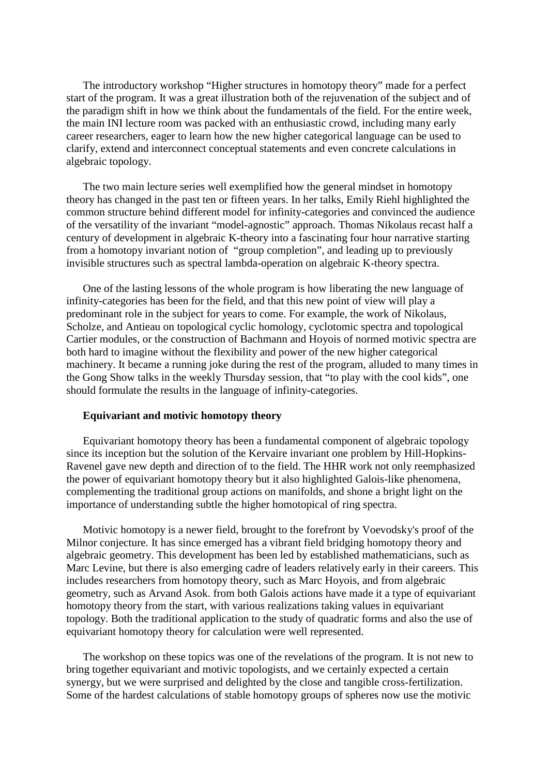The introductory workshop "Higher structures in homotopy theory" made for a perfect start of the program. It was a great illustration both of the rejuvenation of the subject and of the paradigm shift in how we think about the fundamentals of the field. For the entire week, the main INI lecture room was packed with an enthusiastic crowd, including many early career researchers, eager to learn how the new higher categorical language can be used to clarify, extend and interconnect conceptual statements and even concrete calculations in algebraic topology.

The two main lecture series well exemplified how the general mindset in homotopy theory has changed in the past ten or fifteen years. In her talks, Emily Riehl highlighted the common structure behind different model for infinity-categories and convinced the audience of the versatility of the invariant "model-agnostic" approach. Thomas Nikolaus recast half a century of development in algebraic K-theory into a fascinating four hour narrative starting from a homotopy invariant notion of "group completion", and leading up to previously invisible structures such as spectral lambda-operation on algebraic K-theory spectra.

One of the lasting lessons of the whole program is how liberating the new language of infinity-categories has been for the field, and that this new point of view will play a predominant role in the subject for years to come. For example, the work of Nikolaus, Scholze, and Antieau on topological cyclic homology, cyclotomic spectra and topological Cartier modules, or the construction of Bachmann and Hoyois of normed motivic spectra are both hard to imagine without the flexibility and power of the new higher categorical machinery. It became a running joke during the rest of the program, alluded to many times in the Gong Show talks in the weekly Thursday session, that "to play with the cool kids", one should formulate the results in the language of infinity-categories.

#### **Equivariant and motivic homotopy theory**

Equivariant homotopy theory has been a fundamental component of algebraic topology since its inception but the solution of the Kervaire invariant one problem by Hill-Hopkins-Ravenel gave new depth and direction of to the field. The HHR work not only reemphasized the power of equivariant homotopy theory but it also highlighted Galois-like phenomena, complementing the traditional group actions on manifolds, and shone a bright light on the importance of understanding subtle the higher homotopical of ring spectra.

Motivic homotopy is a newer field, brought to the forefront by Voevodsky's proof of the Milnor conjecture. It has since emerged has a vibrant field bridging homotopy theory and algebraic geometry. This development has been led by established mathematicians, such as Marc Levine, but there is also emerging cadre of leaders relatively early in their careers. This includes researchers from homotopy theory, such as Marc Hoyois, and from algebraic geometry, such as Arvand Asok. from both Galois actions have made it a type of equivariant homotopy theory from the start, with various realizations taking values in equivariant topology. Both the traditional application to the study of quadratic forms and also the use of equivariant homotopy theory for calculation were well represented.

The workshop on these topics was one of the revelations of the program. It is not new to bring together equivariant and motivic topologists, and we certainly expected a certain synergy, but we were surprised and delighted by the close and tangible cross-fertilization. Some of the hardest calculations of stable homotopy groups of spheres now use the motivic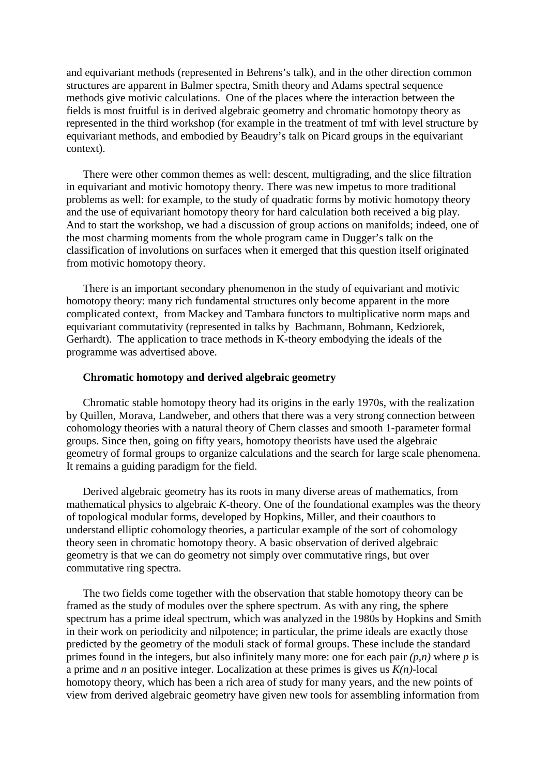and equivariant methods (represented in Behrens's talk), and in the other direction common structures are apparent in Balmer spectra, Smith theory and Adams spectral sequence methods give motivic calculations. One of the places where the interaction between the fields is most fruitful is in derived algebraic geometry and chromatic homotopy theory as represented in the third workshop (for example in the treatment of tmf with level structure by equivariant methods, and embodied by Beaudry's talk on Picard groups in the equivariant context).

There were other common themes as well: descent, multigrading, and the slice filtration in equivariant and motivic homotopy theory. There was new impetus to more traditional problems as well: for example, to the study of quadratic forms by motivic homotopy theory and the use of equivariant homotopy theory for hard calculation both received a big play. And to start the workshop, we had a discussion of group actions on manifolds; indeed, one of the most charming moments from the whole program came in Dugger's talk on the classification of involutions on surfaces when it emerged that this question itself originated from motivic homotopy theory.

There is an important secondary phenomenon in the study of equivariant and motivic homotopy theory: many rich fundamental structures only become apparent in the more complicated context, from Mackey and Tambara functors to multiplicative norm maps and equivariant commutativity (represented in talks by Bachmann, Bohmann, Kedziorek, Gerhardt). The application to trace methods in K-theory embodying the ideals of the programme was advertised above.

## **Chromatic homotopy and derived algebraic geometry**

Chromatic stable homotopy theory had its origins in the early 1970s, with the realization by Quillen, Morava, Landweber, and others that there was a very strong connection between cohomology theories with a natural theory of Chern classes and smooth 1-parameter formal groups. Since then, going on fifty years, homotopy theorists have used the algebraic geometry of formal groups to organize calculations and the search for large scale phenomena. It remains a guiding paradigm for the field.

Derived algebraic geometry has its roots in many diverse areas of mathematics, from mathematical physics to algebraic *K*-theory. One of the foundational examples was the theory of topological modular forms, developed by Hopkins, Miller, and their coauthors to understand elliptic cohomology theories, a particular example of the sort of cohomology theory seen in chromatic homotopy theory. A basic observation of derived algebraic geometry is that we can do geometry not simply over commutative rings, but over commutative ring spectra.

The two fields come together with the observation that stable homotopy theory can be framed as the study of modules over the sphere spectrum. As with any ring, the sphere spectrum has a prime ideal spectrum, which was analyzed in the 1980s by Hopkins and Smith in their work on periodicity and nilpotence; in particular, the prime ideals are exactly those predicted by the geometry of the moduli stack of formal groups. These include the standard primes found in the integers, but also infinitely many more: one for each pair *(p,n)* where *p* is a prime and *n* an positive integer. Localization at these primes is gives us *K(n)*-local homotopy theory, which has been a rich area of study for many years, and the new points of view from derived algebraic geometry have given new tools for assembling information from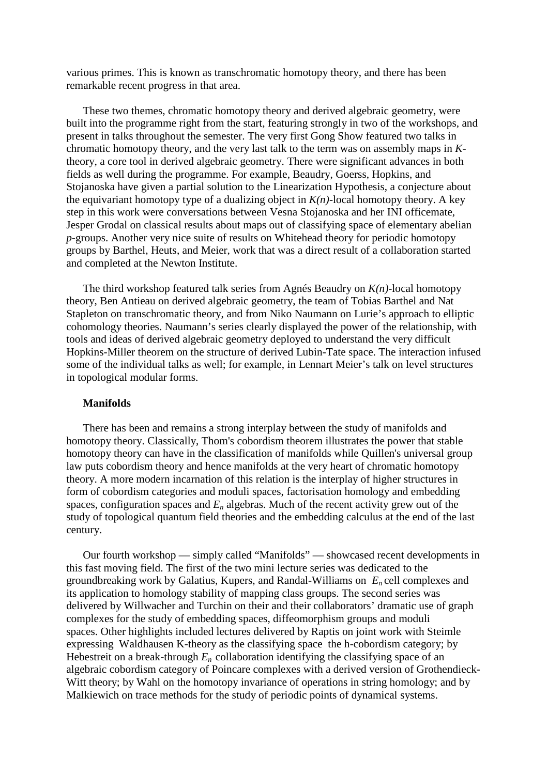various primes. This is known as transchromatic homotopy theory, and there has been remarkable recent progress in that area.

These two themes, chromatic homotopy theory and derived algebraic geometry, were built into the programme right from the start, featuring strongly in two of the workshops, and present in talks throughout the semester. The very first Gong Show featured two talks in chromatic homotopy theory, and the very last talk to the term was on assembly maps in *K*theory, a core tool in derived algebraic geometry. There were significant advances in both fields as well during the programme. For example, Beaudry, Goerss, Hopkins, and Stojanoska have given a partial solution to the Linearization Hypothesis, a conjecture about the equivariant homotopy type of a dualizing object in  $K(n)$ -local homotopy theory. A key step in this work were conversations between Vesna Stojanoska and her INI officemate, Jesper Grodal on classical results about maps out of classifying space of elementary abelian *p*-groups. Another very nice suite of results on Whitehead theory for periodic homotopy groups by Barthel, Heuts, and Meier, work that was a direct result of a collaboration started and completed at the Newton Institute.

The third workshop featured talk series from Agnés Beaudry on *K(n)*-local homotopy theory, Ben Antieau on derived algebraic geometry, the team of Tobias Barthel and Nat Stapleton on transchromatic theory, and from Niko Naumann on Lurie's approach to elliptic cohomology theories. Naumann's series clearly displayed the power of the relationship, with tools and ideas of derived algebraic geometry deployed to understand the very difficult Hopkins-Miller theorem on the structure of derived Lubin-Tate space. The interaction infused some of the individual talks as well; for example, in Lennart Meier's talk on level structures in topological modular forms.

## **Manifolds**

There has been and remains a strong interplay between the study of manifolds and homotopy theory. Classically, Thom's cobordism theorem illustrates the power that stable homotopy theory can have in the classification of manifolds while Quillen's universal group law puts cobordism theory and hence manifolds at the very heart of chromatic homotopy theory. A more modern incarnation of this relation is the interplay of higher structures in form of cobordism categories and moduli spaces, factorisation homology and embedding spaces, configuration spaces and *En* algebras. Much of the recent activity grew out of the study of topological quantum field theories and the embedding calculus at the end of the last century.

Our fourth workshop — simply called "Manifolds" — showcased recent developments in this fast moving field. The first of the two mini lecture series was dedicated to the groundbreaking work by Galatius, Kupers, and Randal-Williams on *En* cell complexes and its application to homology stability of mapping class groups. The second series was delivered by Willwacher and Turchin on their and their collaborators' dramatic use of graph complexes for the study of embedding spaces, diffeomorphism groups and moduli spaces. Other highlights included lectures delivered by Raptis on joint work with Steimle expressing Waldhausen K-theory as the classifying space the h-cobordism category; by Hebestreit on a break-through  $E_n$  collaboration identifying the classifying space of an algebraic cobordism category of Poincare complexes with a derived version of Grothendieck-Witt theory; by Wahl on the homotopy invariance of operations in string homology; and by Malkiewich on trace methods for the study of periodic points of dynamical systems.